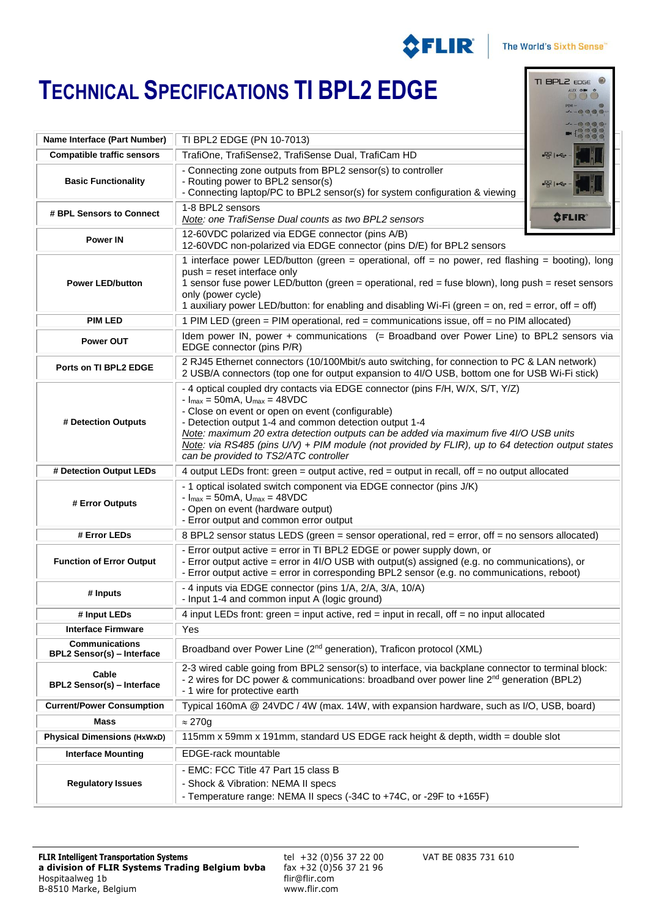

TI BPL2  $\epsilon$ DGE  $\circledast$ AUX ON O 

## **TECHNICAL SPECIFICATIONS TI BPL2 EDGE**

| Name Interface (Part Number)                               | TI BPL2 EDGE (PN 10-7013)                                                                                                                                                                                                                                                                                                                                                                                                                                                  |               |
|------------------------------------------------------------|----------------------------------------------------------------------------------------------------------------------------------------------------------------------------------------------------------------------------------------------------------------------------------------------------------------------------------------------------------------------------------------------------------------------------------------------------------------------------|---------------|
| <b>Compatible traffic sensors</b>                          | TrafiOne, TrafiSense2, TrafiSense Dual, TrafiCam HD                                                                                                                                                                                                                                                                                                                                                                                                                        |               |
| <b>Basic Functionality</b>                                 | - Connecting zone outputs from BPL2 sensor(s) to controller<br>- Routing power to BPL2 sensor(s)<br>- Connecting laptop/PC to BPL2 sensor(s) for system configuration & viewing                                                                                                                                                                                                                                                                                            |               |
| # BPL Sensors to Connect                                   | 1-8 BPL2 sensors<br>Note: one TrafiSense Dual counts as two BPL2 sensors                                                                                                                                                                                                                                                                                                                                                                                                   | <b>OFLIR®</b> |
| <b>Power IN</b>                                            | 12-60VDC polarized via EDGE connector (pins A/B)<br>12-60VDC non-polarized via EDGE connector (pins D/E) for BPL2 sensors                                                                                                                                                                                                                                                                                                                                                  |               |
| <b>Power LED/button</b>                                    | 1 interface power LED/button (green = operational, off = no power, red flashing = booting), long<br>push = reset interface only<br>1 sensor fuse power LED/button (green = operational, red = fuse blown), long push = reset sensors<br>only (power cycle)<br>1 auxiliary power LED/button: for enabling and disabling Wi-Fi (green = on, red = error, off = off)                                                                                                          |               |
| <b>PIM LED</b>                                             | 1 PIM LED (green = PIM operational, red = communications issue, off = no PIM allocated)                                                                                                                                                                                                                                                                                                                                                                                    |               |
| <b>Power OUT</b>                                           | Idem power IN, power + communications (= Broadband over Power Line) to BPL2 sensors via<br>EDGE connector (pins P/R)                                                                                                                                                                                                                                                                                                                                                       |               |
| Ports on TI BPL2 EDGE                                      | 2 RJ45 Ethernet connectors (10/100Mbit/s auto switching, for connection to PC & LAN network)<br>2 USB/A connectors (top one for output expansion to 4l/O USB, bottom one for USB Wi-Fi stick)                                                                                                                                                                                                                                                                              |               |
| # Detection Outputs                                        | - 4 optical coupled dry contacts via EDGE connector (pins F/H, W/X, S/T, Y/Z)<br>$-l_{max} = 50mA$ , $U_{max} = 48VDC$<br>- Close on event or open on event (configurable)<br>- Detection output 1-4 and common detection output 1-4<br>Note: maximum 20 extra detection outputs can be added via maximum five 4//O USB units<br>Note: via RS485 (pins U/V) + PIM module (not provided by FLIR), up to 64 detection output states<br>can be provided to TS2/ATC controller |               |
| # Detection Output LEDs                                    | 4 output LEDs front: green = output active, red = output in recall, off = no output allocated                                                                                                                                                                                                                                                                                                                                                                              |               |
| # Error Outputs                                            | - 1 optical isolated switch component via EDGE connector (pins J/K)<br>$-I_{max} = 50mA$ , $U_{max} = 48VDC$<br>- Open on event (hardware output)<br>- Error output and common error output                                                                                                                                                                                                                                                                                |               |
| # Error LEDs                                               | 8 BPL2 sensor status LEDS (green = sensor operational, red = error, off = no sensors allocated)                                                                                                                                                                                                                                                                                                                                                                            |               |
| <b>Function of Error Output</b>                            | - Error output active = error in TI BPL2 EDGE or power supply down, or<br>- Error output active = error in 4I/O USB with output(s) assigned (e.g. no communications), or<br>- Error output active = error in corresponding BPL2 sensor (e.g. no communications, reboot)                                                                                                                                                                                                    |               |
| # Inputs                                                   | - 4 inputs via EDGE connector (pins 1/A, 2/A, 3/A, 10/A)<br>- Input 1-4 and common input A (logic ground)                                                                                                                                                                                                                                                                                                                                                                  |               |
| # Input LEDs                                               | 4 input LEDs front: green = input active, red = input in recall, off = no input allocated                                                                                                                                                                                                                                                                                                                                                                                  |               |
| <b>Interface Firmware</b>                                  | Yes                                                                                                                                                                                                                                                                                                                                                                                                                                                                        |               |
| <b>Communications</b><br><b>BPL2 Sensor(s) - Interface</b> | Broadband over Power Line (2 <sup>nd</sup> generation), Traficon protocol (XML)                                                                                                                                                                                                                                                                                                                                                                                            |               |
| Cable<br><b>BPL2 Sensor(s) - Interface</b>                 | 2-3 wired cable going from BPL2 sensor(s) to interface, via backplane connector to terminal block:<br>- 2 wires for DC power & communications: broadband over power line 2 <sup>nd</sup> generation (BPL2)<br>- 1 wire for protective earth                                                                                                                                                                                                                                |               |
| <b>Current/Power Consumption</b>                           | Typical 160mA @ 24VDC / 4W (max. 14W, with expansion hardware, such as I/O, USB, board)                                                                                                                                                                                                                                                                                                                                                                                    |               |
| Mass                                                       | $\approx$ 270g                                                                                                                                                                                                                                                                                                                                                                                                                                                             |               |
| <b>Physical Dimensions (HxWxD)</b>                         | 115mm x 59mm x 191mm, standard US EDGE rack height & depth, width = double slot                                                                                                                                                                                                                                                                                                                                                                                            |               |
| <b>Interface Mounting</b>                                  | EDGE-rack mountable                                                                                                                                                                                                                                                                                                                                                                                                                                                        |               |
| <b>Regulatory Issues</b>                                   | - EMC: FCC Title 47 Part 15 class B<br>- Shock & Vibration: NEMA II specs<br>- Temperature range: NEMA II specs (-34C to +74C, or -29F to +165F)                                                                                                                                                                                                                                                                                                                           |               |